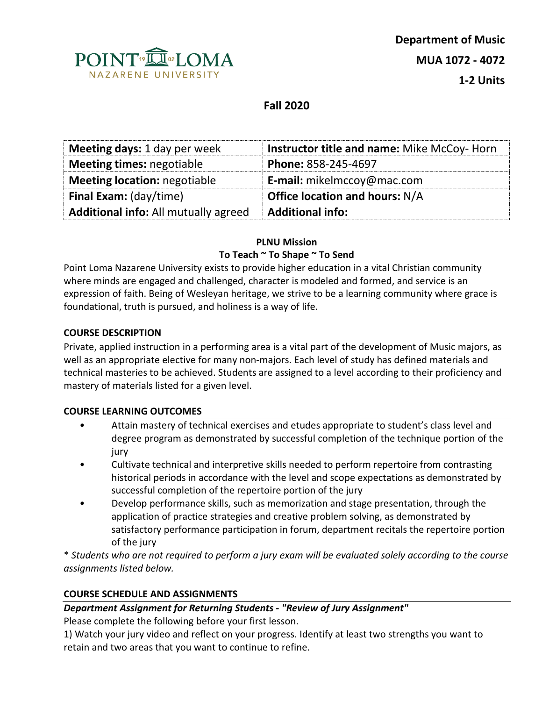

# **Fall 2020**

| Meeting days: 1 day per week                | Instructor title and name: Mike McCoy-Horn |  |
|---------------------------------------------|--------------------------------------------|--|
| Meeting times: negotiable                   | Phone: 858-245-4697                        |  |
| <b>Meeting location: negotiable</b>         | <b>E-mail:</b> mikelmccoy@mac.com          |  |
| <b>Final Exam:</b> (day/time)               | <b>Office location and hours: N/A</b>      |  |
| <b>Additional info:</b> All mutually agreed | <b>Additional info:</b>                    |  |

## **PLNU Mission To Teach ~ To Shape ~ To Send**

Point Loma Nazarene University exists to provide higher education in a vital Christian community where minds are engaged and challenged, character is modeled and formed, and service is an expression of faith. Being of Wesleyan heritage, we strive to be a learning community where grace is foundational, truth is pursued, and holiness is a way of life.

### **COURSE DESCRIPTION**

Private, applied instruction in a performing area is a vital part of the development of Music majors, as well as an appropriate elective for many non-majors. Each level of study has defined materials and technical masteries to be achieved. Students are assigned to a level according to their proficiency and mastery of materials listed for a given level.

### **COURSE LEARNING OUTCOMES**

- Attain mastery of technical exercises and etudes appropriate to student's class level and degree program as demonstrated by successful completion of the technique portion of the jury
- Cultivate technical and interpretive skills needed to perform repertoire from contrasting historical periods in accordance with the level and scope expectations as demonstrated by successful completion of the repertoire portion of the jury
- Develop performance skills, such as memorization and stage presentation, through the application of practice strategies and creative problem solving, as demonstrated by satisfactory performance participation in forum, department recitals the repertoire portion of the jury

\* *Students who are not required to perform a jury exam will be evaluated solely according to the course assignments listed below.*

### **COURSE SCHEDULE AND ASSIGNMENTS**

#### *Department Assignment for Returning Students - "Review of Jury Assignment"*

Please complete the following before your first lesson.

1) Watch your jury video and reflect on your progress. Identify at least two strengths you want to retain and two areas that you want to continue to refine.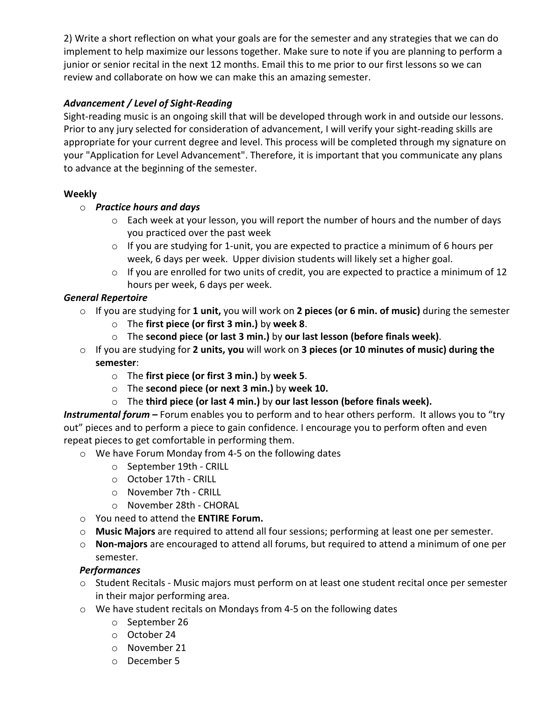2) Write a short reflection on what your goals are for the semester and any strategies that we can do implement to help maximize our lessons together. Make sure to note if you are planning to perform a junior or senior recital in the next 12 months. Email this to me prior to our first lessons so we can review and collaborate on how we can make this an amazing semester.

### *Advancement / Level of Sight-Reading*

Sight-reading music is an ongoing skill that will be developed through work in and outside our lessons. Prior to any jury selected for consideration of advancement, I will verify your sight-reading skills are appropriate for your current degree and level. This process will be completed through my signature on your "Application for Level Advancement". Therefore, it is important that you communicate any plans to advance at the beginning of the semester.

## **Weekly**

## o *Practice hours and days*

- o Each week at your lesson, you will report the number of hours and the number of days you practiced over the past week
- $\circ$  If you are studying for 1-unit, you are expected to practice a minimum of 6 hours per week, 6 days per week. Upper division students will likely set a higher goal.
- o If you are enrolled for two units of credit, you are expected to practice a minimum of 12 hours per week, 6 days per week.

## *General Repertoire*

- o If you are studying for **1 unit,** you will work on **2 pieces (or 6 min. of music)** during the semester
	- o The **first piece (or first 3 min.)** by **week 8**.
	- o The **second piece (or last 3 min.)** by **our last lesson (before finals week)**.
- o If you are studying for **2 units, you** will work on **3 pieces (or 10 minutes of music) during the semester**:
	- o The **first piece (or first 3 min.)** by **week 5**.
	- o The **second piece (or next 3 min.)** by **week 10.**
	- o The **third piece (or last 4 min.)** by **our last lesson (before finals week).**

*Instrumental forum –* Forum enables you to perform and to hear others perform. It allows you to "try out" pieces and to perform a piece to gain confidence. I encourage you to perform often and even repeat pieces to get comfortable in performing them.

- o We have Forum Monday from 4-5 on the following dates
	- o September 19th CRILL
	- o October 17th CRILL
	- o November 7th CRILL
	- o November 28th CHORAL
- o You need to attend the **ENTIRE Forum.**
- o **Music Majors** are required to attend all four sessions; performing at least one per semester.
- o **Non-majors** are encouraged to attend all forums, but required to attend a minimum of one per semester.

### *Performances*

- o Student Recitals Music majors must perform on at least one student recital once per semester in their major performing area.
- o We have student recitals on Mondays from 4-5 on the following dates
	- o September 26
	- o October 24
	- o November 21
	- o December 5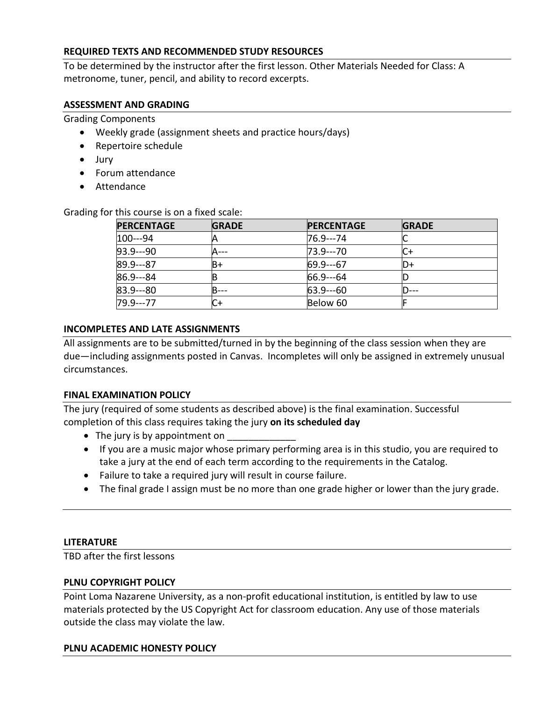### **REQUIRED TEXTS AND RECOMMENDED STUDY RESOURCES**

To be determined by the instructor after the first lesson. Other Materials Needed for Class: A metronome, tuner, pencil, and ability to record excerpts.

### **ASSESSMENT AND GRADING**

Grading Components

- Weekly grade (assignment sheets and practice hours/days)
- Repertoire schedule
- Jury
- Forum attendance
- Attendance

Grading for this course is on a fixed scale:

| <b>PERCENTAGE</b> | <b>GRADE</b> | <b>PERCENTAGE</b> | <b>GRADE</b> |
|-------------------|--------------|-------------------|--------------|
| 100---94          |              | 76.9---74         |              |
| $93.9 - 90$       |              | 73.9---70         |              |
| 89.9---87         | B+           | $169.9--67$       | D+           |
| 86.9---84         |              | $66.9 - -64$      |              |
| $ 83.9 - 80 $     | В            | $63.9 - -60$      |              |
| 79.9---77         |              | Below 60          |              |

#### **INCOMPLETES AND LATE ASSIGNMENTS**

All assignments are to be submitted/turned in by the beginning of the class session when they are due—including assignments posted in Canvas. Incompletes will only be assigned in extremely unusual circumstances.

#### **FINAL EXAMINATION POLICY**

The jury (required of some students as described above) is the final examination. Successful completion of this class requires taking the jury **on its scheduled day** 

- The jury is by appointment on
- If you are a music major whose primary performing area is in this studio, you are required to take a jury at the end of each term according to the requirements in the Catalog.
- Failure to take a required jury will result in course failure.
- The final grade I assign must be no more than one grade higher or lower than the jury grade.

#### **LITERATURE**

TBD after the first lessons

#### **PLNU COPYRIGHT POLICY**

Point Loma Nazarene University, as a non-profit educational institution, is entitled by law to use materials protected by the US Copyright Act for classroom education. Any use of those materials outside the class may violate the law.

#### **PLNU ACADEMIC HONESTY POLICY**